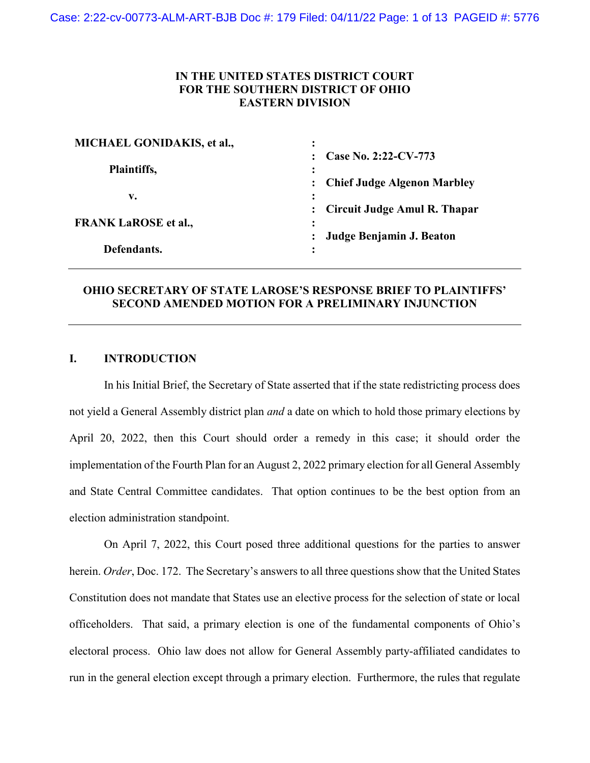## **IN THE UNITED STATES DISTRICT COURT FOR THE SOUTHERN DISTRICT OF OHIO EASTERN DIVISION**

| MICHAEL GONIDAKIS, et al.,  | ٠                                              |
|-----------------------------|------------------------------------------------|
| Plaintiffs,                 | Case No. 2:22-CV-773<br>٠<br>٠                 |
|                             | <b>Chief Judge Algenon Marbley</b>             |
| v.                          | $\ddot{\cdot}$                                 |
|                             | Circuit Judge Amul R. Thapar<br>$\ddot{\cdot}$ |
| <b>FRANK LaROSE et al.,</b> | ٠<br>$\bullet$                                 |
|                             | Judge Benjamin J. Beaton                       |
| Defendants.                 | $\bullet$<br>$\ddot{\phantom{0}}$              |

# **OHIO SECRETARY OF STATE LAROSE'S RESPONSE BRIEF TO PLAINTIFFS' SECOND AMENDED MOTION FOR A PRELIMINARY INJUNCTION**

### **I. INTRODUCTION**

In his Initial Brief, the Secretary of State asserted that if the state redistricting process does not yield a General Assembly district plan *and* a date on which to hold those primary elections by April 20, 2022, then this Court should order a remedy in this case; it should order the implementation of the Fourth Plan for an August 2, 2022 primary election for all General Assembly and State Central Committee candidates. That option continues to be the best option from an election administration standpoint.

On April 7, 2022, this Court posed three additional questions for the parties to answer herein. *Order*, Doc. 172. The Secretary's answers to all three questions show that the United States Constitution does not mandate that States use an elective process for the selection of state or local officeholders. That said, a primary election is one of the fundamental components of Ohio's electoral process. Ohio law does not allow for General Assembly party-affiliated candidates to run in the general election except through a primary election. Furthermore, the rules that regulate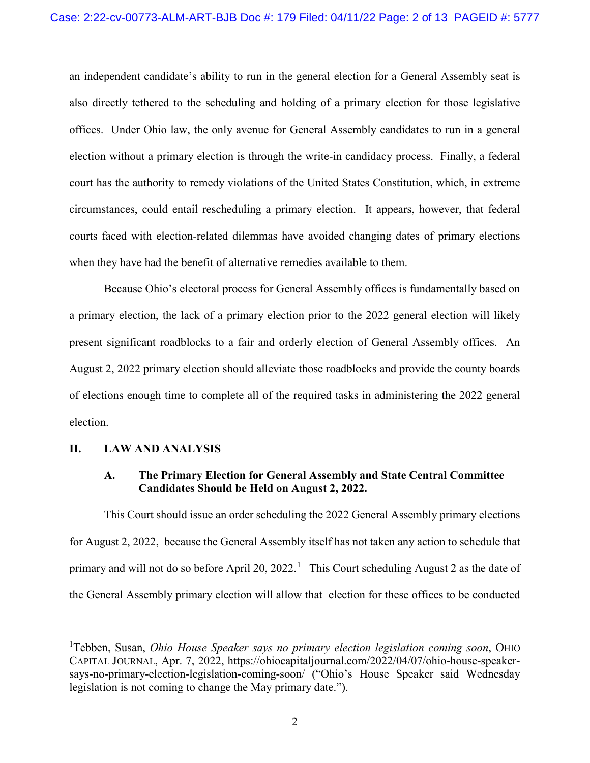an independent candidate's ability to run in the general election for a General Assembly seat is also directly tethered to the scheduling and holding of a primary election for those legislative offices. Under Ohio law, the only avenue for General Assembly candidates to run in a general election without a primary election is through the write-in candidacy process. Finally, a federal court has the authority to remedy violations of the United States Constitution, which, in extreme circumstances, could entail rescheduling a primary election. It appears, however, that federal courts faced with election-related dilemmas have avoided changing dates of primary elections when they have had the benefit of alternative remedies available to them.

Because Ohio's electoral process for General Assembly offices is fundamentally based on a primary election, the lack of a primary election prior to the 2022 general election will likely present significant roadblocks to a fair and orderly election of General Assembly offices. An August 2, 2022 primary election should alleviate those roadblocks and provide the county boards of elections enough time to complete all of the required tasks in administering the 2022 general election.

#### **II. LAW AND ANALYSIS**

### **A. The Primary Election for General Assembly and State Central Committee Candidates Should be Held on August 2, 2022.**

This Court should issue an order scheduling the 2022 General Assembly primary elections for August 2, 2022, because the General Assembly itself has not taken any action to schedule that primary and will not do so before April 20, 2022.<sup>1</sup> This Court scheduling August 2 as the date of the General Assembly primary election will allow that election for these offices to be conducted

 $\frac{1}{1}$ Tebben, Susan, *Ohio House Speaker says no primary election legislation coming soon*, OHIO CAPITAL JOURNAL, Apr. 7, 2022, https://ohiocapitaljournal.com/2022/04/07/ohio-house-speakersays-no-primary-election-legislation-coming-soon/ ("Ohio's House Speaker said Wednesday legislation is not coming to change the May primary date.").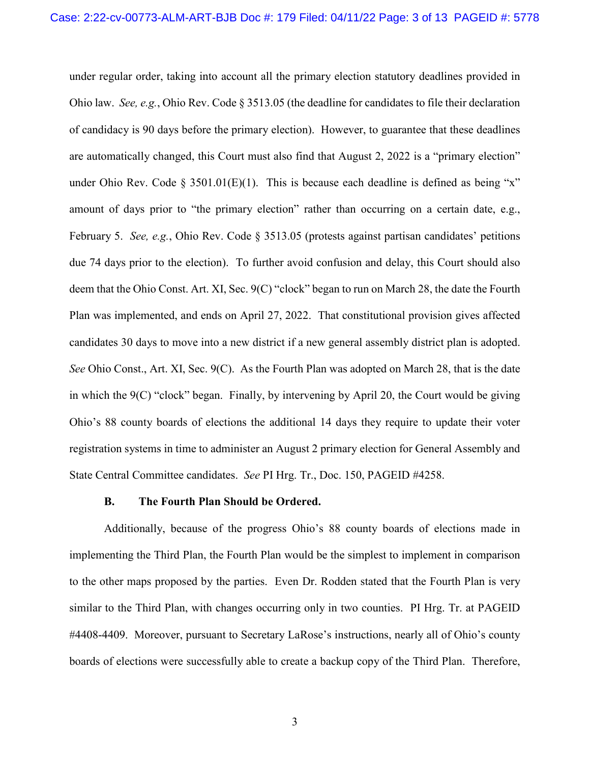under regular order, taking into account all the primary election statutory deadlines provided in Ohio law. *See, e.g.*, Ohio Rev. Code § 3513.05 (the deadline for candidates to file their declaration of candidacy is 90 days before the primary election). However, to guarantee that these deadlines are automatically changed, this Court must also find that August 2, 2022 is a "primary election" under Ohio Rev. Code  $\S 3501.01(E)(1)$ . This is because each deadline is defined as being "x" amount of days prior to "the primary election" rather than occurring on a certain date, e.g., February 5. *See, e.g.*, Ohio Rev. Code § 3513.05 (protests against partisan candidates' petitions due 74 days prior to the election). To further avoid confusion and delay, this Court should also deem that the Ohio Const. Art. XI, Sec. 9(C) "clock" began to run on March 28, the date the Fourth Plan was implemented, and ends on April 27, 2022. That constitutional provision gives affected candidates 30 days to move into a new district if a new general assembly district plan is adopted. *See* Ohio Const., Art. XI, Sec. 9(C). As the Fourth Plan was adopted on March 28, that is the date in which the 9(C) "clock" began. Finally, by intervening by April 20, the Court would be giving Ohio's 88 county boards of elections the additional 14 days they require to update their voter registration systems in time to administer an August 2 primary election for General Assembly and State Central Committee candidates. *See* PI Hrg. Tr., Doc. 150, PAGEID #4258.

#### **B. The Fourth Plan Should be Ordered.**

Additionally, because of the progress Ohio's 88 county boards of elections made in implementing the Third Plan, the Fourth Plan would be the simplest to implement in comparison to the other maps proposed by the parties. Even Dr. Rodden stated that the Fourth Plan is very similar to the Third Plan, with changes occurring only in two counties. PI Hrg. Tr. at PAGEID #4408-4409. Moreover, pursuant to Secretary LaRose's instructions, nearly all of Ohio's county boards of elections were successfully able to create a backup copy of the Third Plan. Therefore,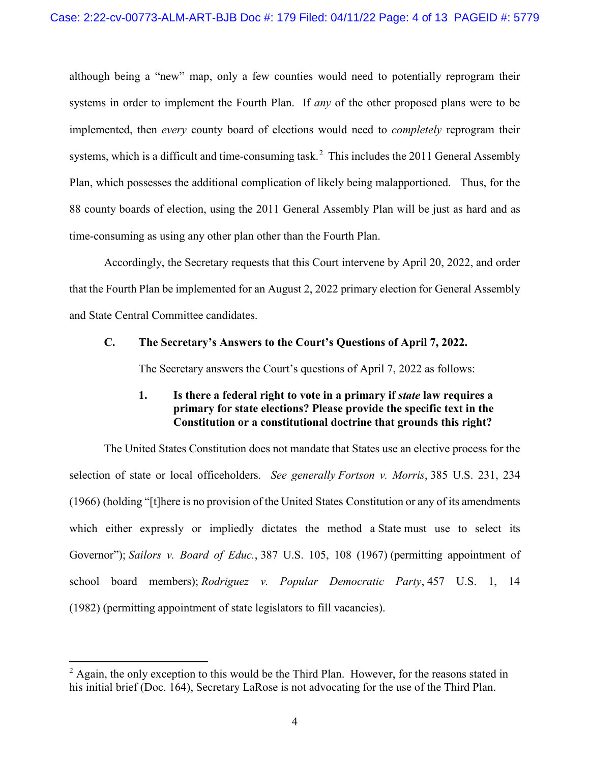although being a "new" map, only a few counties would need to potentially reprogram their systems in order to implement the Fourth Plan. If *any* of the other proposed plans were to be implemented, then *every* county board of elections would need to *completely* reprogram their systems, which is a difficult and time-consuming task.<sup>2</sup> This includes the 2011 General Assembly Plan, which possesses the additional complication of likely being malapportioned. Thus, for the 88 county boards of election, using the 2011 General Assembly Plan will be just as hard and as time-consuming as using any other plan other than the Fourth Plan.

Accordingly, the Secretary requests that this Court intervene by April 20, 2022, and order that the Fourth Plan be implemented for an August 2, 2022 primary election for General Assembly and State Central Committee candidates.

#### **C. The Secretary's Answers to the Court's Questions of April 7, 2022.**

The Secretary answers the Court's questions of April 7, 2022 as follows:

# **1. Is there a federal right to vote in a primary if** *state* **law requires a primary for state elections? Please provide the specific text in the Constitution or a constitutional doctrine that grounds this right?**

The United States Constitution does not mandate that States use an elective process for the selection of state or local officeholders. *See generally Fortson v. Morris*, 385 U.S. 231, 234 (1966) (holding "[t]here is no provision of the United States Constitution or any of its amendments which either expressly or impliedly dictates the method a State must use to select its Governor"); *Sailors v. Board of Educ.*, 387 U.S. 105, 108 (1967) (permitting appointment of school board members); *Rodriguez v. Popular Democratic Party*, 457 U.S. 1, 14 (1982) (permitting appointment of state legislators to fill vacancies).

 $2 \text{ Again, the only exception to this would be the Third Plan. However, for the reasons stated in }$ his initial brief (Doc. 164), Secretary LaRose is not advocating for the use of the Third Plan.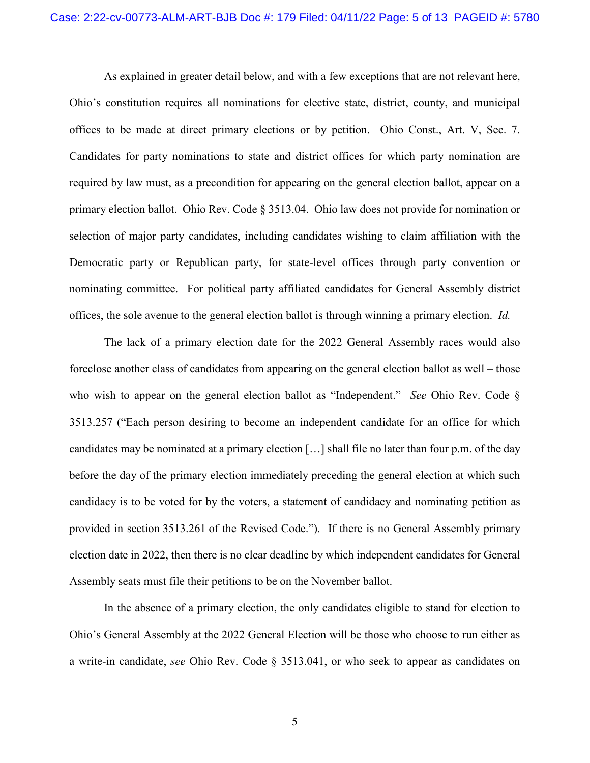As explained in greater detail below, and with a few exceptions that are not relevant here, Ohio's constitution requires all nominations for elective state, district, county, and municipal offices to be made at direct primary elections or by petition. Ohio Const., Art. V, Sec. 7. Candidates for party nominations to state and district offices for which party nomination are required by law must, as a precondition for appearing on the general election ballot, appear on a primary election ballot. Ohio Rev. Code § 3513.04. Ohio law does not provide for nomination or selection of major party candidates, including candidates wishing to claim affiliation with the Democratic party or Republican party, for state-level offices through party convention or nominating committee. For political party affiliated candidates for General Assembly district offices, the sole avenue to the general election ballot is through winning a primary election. *Id.*

The lack of a primary election date for the 2022 General Assembly races would also foreclose another class of candidates from appearing on the general election ballot as well – those who wish to appear on the general election ballot as "Independent." *See* Ohio Rev. Code § 3513.257 ("Each person desiring to become an independent candidate for an office for which candidates may be nominated at a primary election […] shall file no later than four p.m. of the day before the day of the primary election immediately preceding the general election at which such candidacy is to be voted for by the voters, a statement of candidacy and nominating petition as provided in section 3513.261 of the Revised Code."). If there is no General Assembly primary election date in 2022, then there is no clear deadline by which independent candidates for General Assembly seats must file their petitions to be on the November ballot.

In the absence of a primary election, the only candidates eligible to stand for election to Ohio's General Assembly at the 2022 General Election will be those who choose to run either as a write-in candidate, *see* Ohio Rev. Code § 3513.041, or who seek to appear as candidates on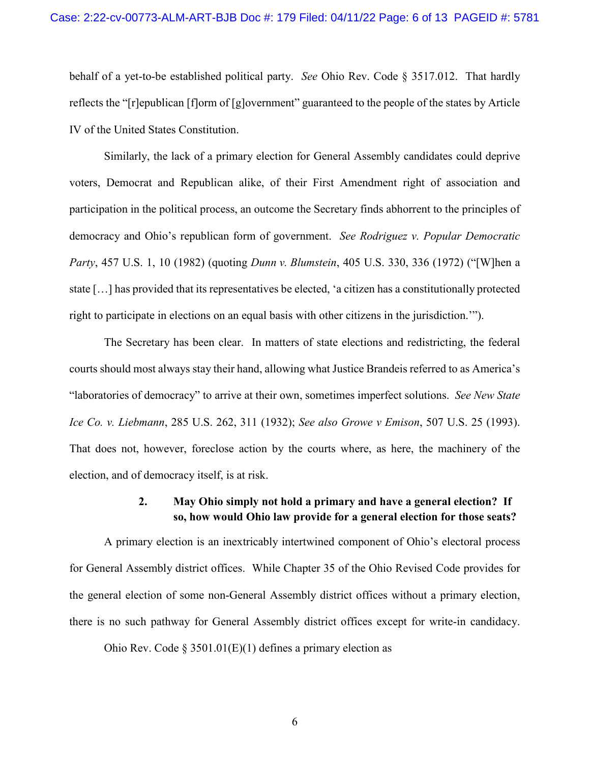behalf of a yet-to-be established political party. *See* Ohio Rev. Code § 3517.012. That hardly reflects the "[r]epublican [f]orm of [g]overnment" guaranteed to the people of the states by Article IV of the United States Constitution.

Similarly, the lack of a primary election for General Assembly candidates could deprive voters, Democrat and Republican alike, of their First Amendment right of association and participation in the political process, an outcome the Secretary finds abhorrent to the principles of democracy and Ohio's republican form of government. *See Rodriguez v. Popular Democratic Party*, 457 U.S. 1, 10 (1982) (quoting *Dunn v. Blumstein*, 405 U.S. 330, 336 (1972) ("[W]hen a state […] has provided that its representatives be elected, 'a citizen has a constitutionally protected right to participate in elections on an equal basis with other citizens in the jurisdiction.'").

The Secretary has been clear. In matters of state elections and redistricting, the federal courts should most always stay their hand, allowing what Justice Brandeis referred to as America's "laboratories of democracy" to arrive at their own, sometimes imperfect solutions. *See New State Ice Co. v. Liebmann*, 285 U.S. 262, 311 (1932); *See also Growe v Emison*, 507 U.S. 25 (1993). That does not, however, foreclose action by the courts where, as here, the machinery of the election, and of democracy itself, is at risk.

# **2. May Ohio simply not hold a primary and have a general election? If so, how would Ohio law provide for a general election for those seats?**

A primary election is an inextricably intertwined component of Ohio's electoral process for General Assembly district offices. While Chapter 35 of the Ohio Revised Code provides for the general election of some non-General Assembly district offices without a primary election, there is no such pathway for General Assembly district offices except for write-in candidacy.

Ohio Rev. Code § 3501.01(E)(1) defines a primary election as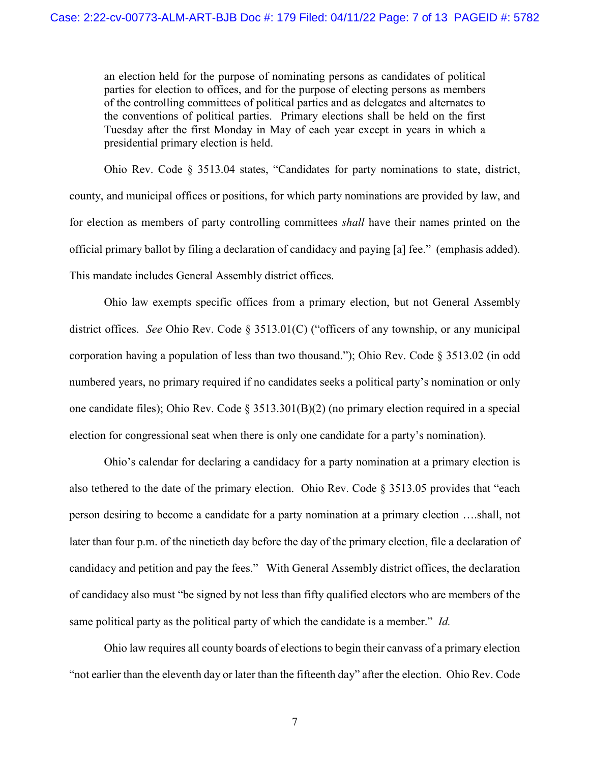an election held for the purpose of nominating persons as candidates of political parties for election to offices, and for the purpose of electing persons as members of the controlling committees of political parties and as delegates and alternates to the conventions of political parties. Primary elections shall be held on the first Tuesday after the first Monday in May of each year except in years in which a presidential primary election is held.

Ohio Rev. Code § 3513.04 states, "Candidates for party nominations to state, district, county, and municipal offices or positions, for which party nominations are provided by law, and for election as members of party controlling committees *shall* have their names printed on the official primary ballot by filing a declaration of candidacy and paying [a] fee." (emphasis added). This mandate includes General Assembly district offices.

Ohio law exempts specific offices from a primary election, but not General Assembly district offices. *See* Ohio Rev. Code § 3513.01(C) ("officers of any township, or any municipal corporation having a population of less than two thousand."); Ohio Rev. Code § 3513.02 (in odd numbered years, no primary required if no candidates seeks a political party's nomination or only one candidate files); Ohio Rev. Code § 3513.301(B)(2) (no primary election required in a special election for congressional seat when there is only one candidate for a party's nomination).

Ohio's calendar for declaring a candidacy for a party nomination at a primary election is also tethered to the date of the primary election. Ohio Rev. Code § 3513.05 provides that "each person desiring to become a candidate for a party nomination at a primary election ….shall, not later than four p.m. of the ninetieth day before the day of the primary election, file a declaration of candidacy and petition and pay the fees." With General Assembly district offices, the declaration of candidacy also must "be signed by not less than fifty qualified electors who are members of the same political party as the political party of which the candidate is a member." *Id.*

Ohio law requires all county boards of elections to begin their canvass of a primary election "not earlier than the eleventh day or later than the fifteenth day" after the election. Ohio Rev. Code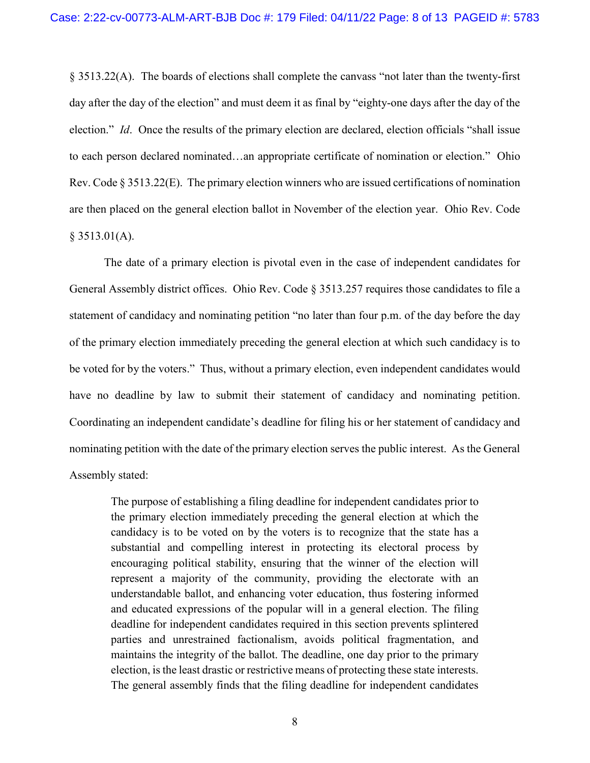§ 3513.22(A). The boards of elections shall complete the canvass "not later than the twenty-first day after the day of the election" and must deem it as final by "eighty-one days after the day of the election." *Id*. Once the results of the primary election are declared, election officials "shall issue to each person declared nominated…an appropriate certificate of nomination or election." Ohio Rev. Code § 3513.22(E). The primary election winners who are issued certifications of nomination are then placed on the general election ballot in November of the election year. Ohio Rev. Code  $§$  3513.01(A).

The date of a primary election is pivotal even in the case of independent candidates for General Assembly district offices. Ohio Rev. Code § 3513.257 requires those candidates to file a statement of candidacy and nominating petition "no later than four p.m. of the day before the day of the primary election immediately preceding the general election at which such candidacy is to be voted for by the voters." Thus, without a primary election, even independent candidates would have no deadline by law to submit their statement of candidacy and nominating petition. Coordinating an independent candidate's deadline for filing his or her statement of candidacy and nominating petition with the date of the primary election serves the public interest. As the General Assembly stated:

The purpose of establishing a filing deadline for independent candidates prior to the primary election immediately preceding the general election at which the candidacy is to be voted on by the voters is to recognize that the state has a substantial and compelling interest in protecting its electoral process by encouraging political stability, ensuring that the winner of the election will represent a majority of the community, providing the electorate with an understandable ballot, and enhancing voter education, thus fostering informed and educated expressions of the popular will in a general election. The filing deadline for independent candidates required in this section prevents splintered parties and unrestrained factionalism, avoids political fragmentation, and maintains the integrity of the ballot. The deadline, one day prior to the primary election, is the least drastic or restrictive means of protecting these state interests. The general assembly finds that the filing deadline for independent candidates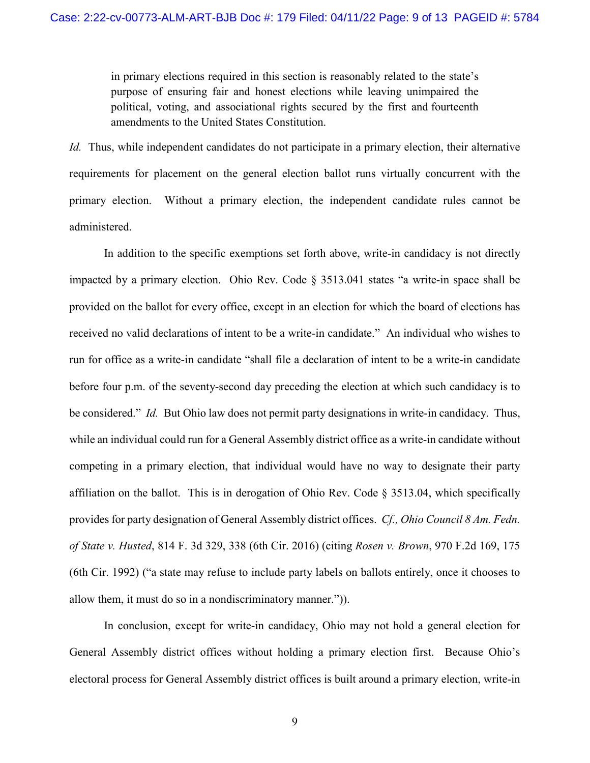in primary elections required in this section is reasonably related to the state's purpose of ensuring fair and honest elections while leaving unimpaired the political, voting, and associational rights secured by the first and fourteenth amendments to the United States Constitution.

*Id.* Thus, while independent candidates do not participate in a primary election, their alternative requirements for placement on the general election ballot runs virtually concurrent with the primary election. Without a primary election, the independent candidate rules cannot be administered.

In addition to the specific exemptions set forth above, write-in candidacy is not directly impacted by a primary election. Ohio Rev. Code § 3513.041 states "a write-in space shall be provided on the ballot for every office, except in an election for which the board of elections has received no valid declarations of intent to be a write-in candidate." An individual who wishes to run for office as a write-in candidate "shall file a declaration of intent to be a write-in candidate before four p.m. of the seventy-second day preceding the election at which such candidacy is to be considered." *Id.* But Ohio law does not permit party designations in write-in candidacy. Thus, while an individual could run for a General Assembly district office as a write-in candidate without competing in a primary election, that individual would have no way to designate their party affiliation on the ballot. This is in derogation of Ohio Rev. Code § 3513.04, which specifically provides for party designation of General Assembly district offices. *Cf., Ohio Council 8 Am. Fedn. of State v. Husted*, 814 F. 3d 329, 338 (6th Cir. 2016) (citing *Rosen v. Brown*, 970 F.2d 169, 175 (6th Cir. 1992) ("a state may refuse to include party labels on ballots entirely, once it chooses to allow them, it must do so in a nondiscriminatory manner.")).

In conclusion, except for write-in candidacy, Ohio may not hold a general election for General Assembly district offices without holding a primary election first. Because Ohio's electoral process for General Assembly district offices is built around a primary election, write-in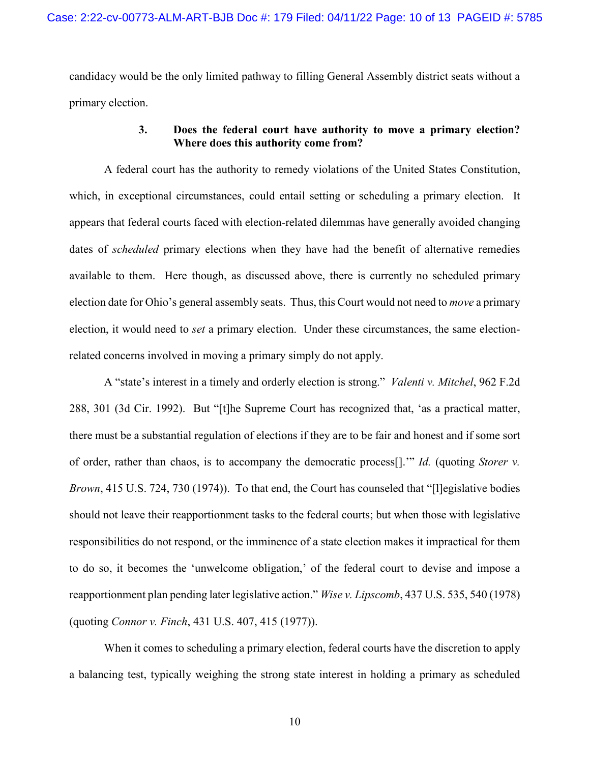candidacy would be the only limited pathway to filling General Assembly district seats without a primary election.

# **3. Does the federal court have authority to move a primary election? Where does this authority come from?**

A federal court has the authority to remedy violations of the United States Constitution, which, in exceptional circumstances, could entail setting or scheduling a primary election. It appears that federal courts faced with election-related dilemmas have generally avoided changing dates of *scheduled* primary elections when they have had the benefit of alternative remedies available to them. Here though, as discussed above, there is currently no scheduled primary election date for Ohio's general assembly seats. Thus, this Court would not need to *move* a primary election, it would need to *set* a primary election. Under these circumstances, the same electionrelated concerns involved in moving a primary simply do not apply.

A "state's interest in a timely and orderly election is strong." *Valenti v. Mitchel*, 962 F.2d 288, 301 (3d Cir. 1992). But "[t]he Supreme Court has recognized that, 'as a practical matter, there must be a substantial regulation of elections if they are to be fair and honest and if some sort of order, rather than chaos, is to accompany the democratic process[].'" *Id.* (quoting *Storer v. Brown*, 415 U.S. 724, 730 (1974)). To that end, the Court has counseled that "[l]egislative bodies should not leave their reapportionment tasks to the federal courts; but when those with legislative responsibilities do not respond, or the imminence of a state election makes it impractical for them to do so, it becomes the 'unwelcome obligation,' of the federal court to devise and impose a reapportionment plan pending later legislative action." *Wise v. Lipscomb*, 437 U.S. 535, 540 (1978) (quoting *Connor v. Finch*, 431 U.S. 407, 415 (1977)).

When it comes to scheduling a primary election, federal courts have the discretion to apply a balancing test, typically weighing the strong state interest in holding a primary as scheduled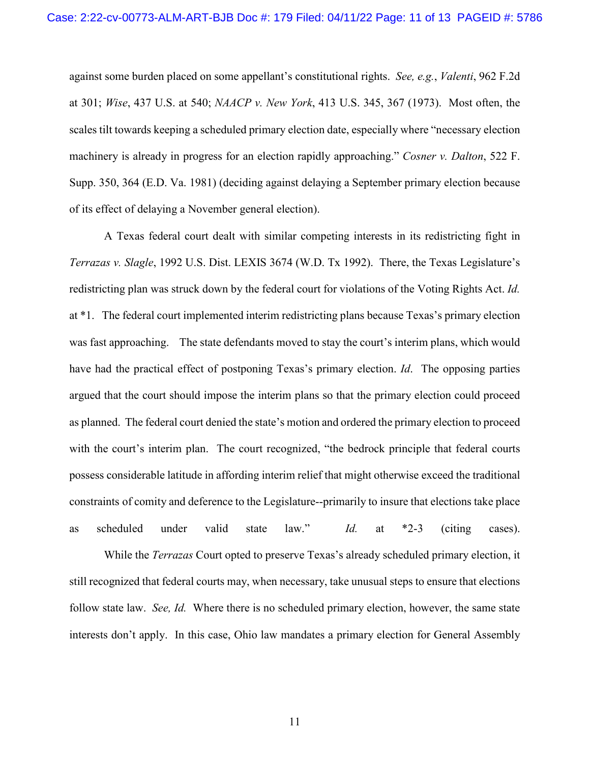against some burden placed on some appellant's constitutional rights. *See, e.g.*, *Valenti*, 962 F.2d at 301; *Wise*, 437 U.S. at 540; *NAACP v. New York*, 413 U.S. 345, 367 (1973). Most often, the scales tilt towards keeping a scheduled primary election date, especially where "necessary election machinery is already in progress for an election rapidly approaching." *Cosner v. Dalton*, 522 F. Supp. 350, 364 (E.D. Va. 1981) (deciding against delaying a September primary election because of its effect of delaying a November general election).

A Texas federal court dealt with similar competing interests in its redistricting fight in *Terrazas v. Slagle*, 1992 U.S. Dist. LEXIS 3674 (W.D. Tx 1992). There, the Texas Legislature's redistricting plan was struck down by the federal court for violations of the Voting Rights Act. *Id.*  at \*1. The federal court implemented interim redistricting plans because Texas's primary election was fast approaching. The state defendants moved to stay the court's interim plans, which would have had the practical effect of postponing Texas's primary election. *Id*. The opposing parties argued that the court should impose the interim plans so that the primary election could proceed as planned. The federal court denied the state's motion and ordered the primary election to proceed with the court's interim plan. The court recognized, "the bedrock principle that federal courts possess considerable latitude in affording interim relief that might otherwise exceed the traditional constraints of comity and deference to the Legislature--primarily to insure that elections take place as scheduled under valid state law." *Id.* at \*2-3 (citing cases).

While the *Terrazas* Court opted to preserve Texas's already scheduled primary election, it still recognized that federal courts may, when necessary, take unusual steps to ensure that elections follow state law. *See, Id.* Where there is no scheduled primary election, however, the same state interests don't apply. In this case, Ohio law mandates a primary election for General Assembly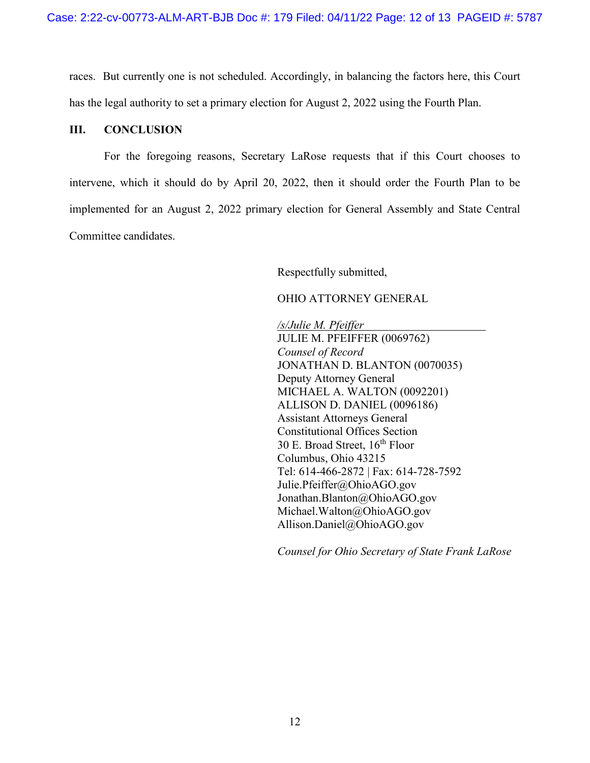races. But currently one is not scheduled. Accordingly, in balancing the factors here, this Court has the legal authority to set a primary election for August 2, 2022 using the Fourth Plan.

### **III. CONCLUSION**

For the foregoing reasons, Secretary LaRose requests that if this Court chooses to intervene, which it should do by April 20, 2022, then it should order the Fourth Plan to be implemented for an August 2, 2022 primary election for General Assembly and State Central Committee candidates.

Respectfully submitted,

#### OHIO ATTORNEY GENERAL

*/s/Julie M. Pfeiffer*  JULIE M. PFEIFFER (0069762) *Counsel of Record* JONATHAN D. BLANTON (0070035) Deputy Attorney General MICHAEL A. WALTON (0092201) ALLISON D. DANIEL (0096186) Assistant Attorneys General Constitutional Offices Section 30 E. Broad Street,  $16<sup>th</sup>$  Floor Columbus, Ohio 43215 Tel: 614-466-2872 | Fax: 614-728-7592 Julie.Pfeiffer@OhioAGO.gov Jonathan.Blanton@OhioAGO.gov Michael.Walton@OhioAGO.gov Allison.Daniel@OhioAGO.gov

*Counsel for Ohio Secretary of State Frank LaRose*